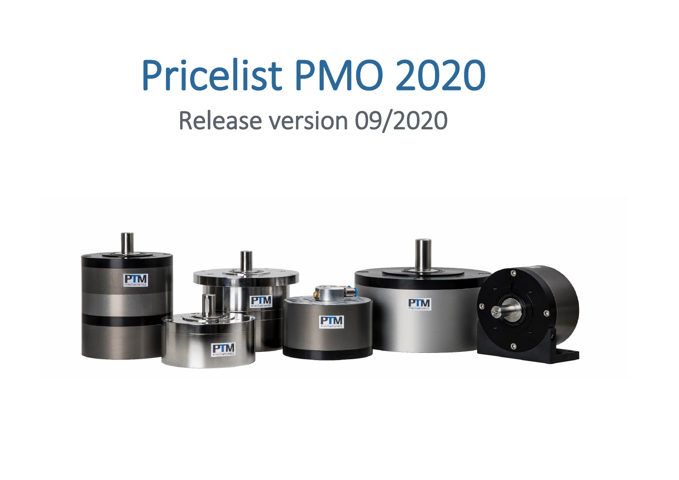## Pricelist PMO 2020 Release version 09/2020

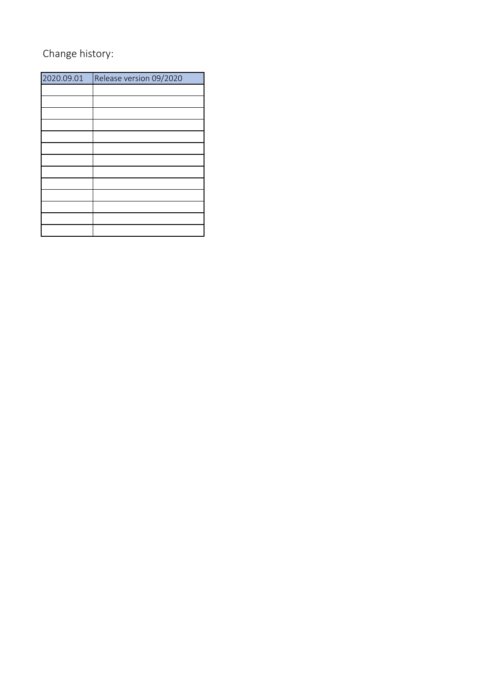## Change history:

| 2020.09.01 | Release version 09/2020 |
|------------|-------------------------|
|            |                         |
|            |                         |
|            |                         |
|            |                         |
|            |                         |
|            |                         |
|            |                         |
|            |                         |
|            |                         |
|            |                         |
|            |                         |
|            |                         |
|            |                         |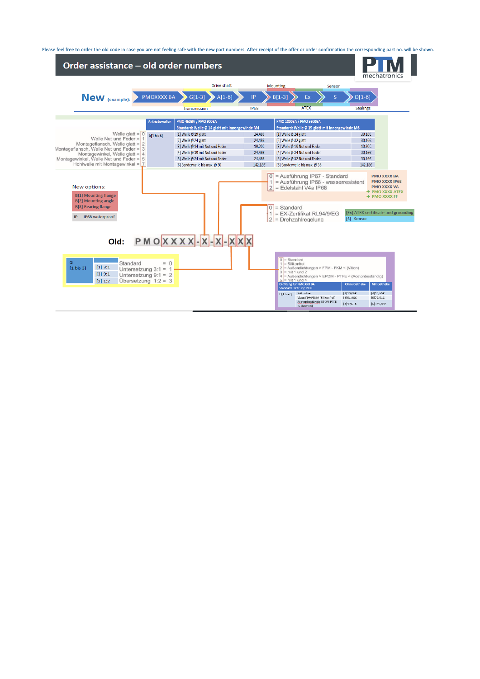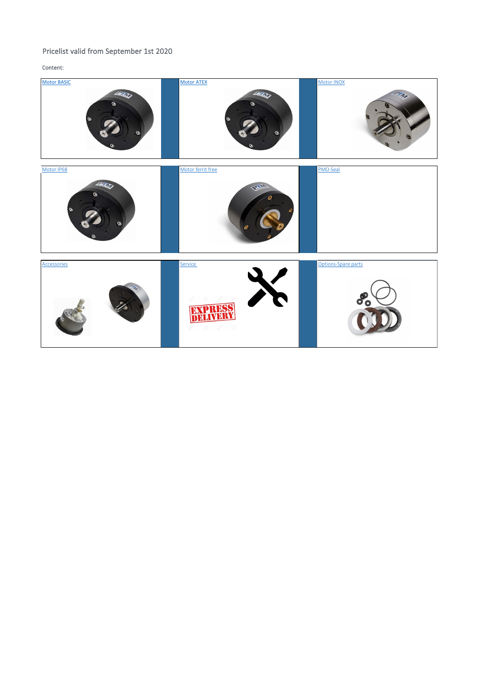## Pricelist valid from September 1st 2020

Content:

 $\overline{\phantom{a}}$ 

| <b>Motor BASIC</b><br>1207<br>G)<br>G | <b>Motor ATEX</b><br>1207<br>C)  | Motor INOX                    |
|---------------------------------------|----------------------------------|-------------------------------|
| Motor IP68<br>1200<br>G<br>$\bullet$  | Motor ferrit free<br><b>PARK</b> | PMO-Seal                      |
| Accessories<br>PM                     | Service                          | Options-Spare parts<br>o<br>o |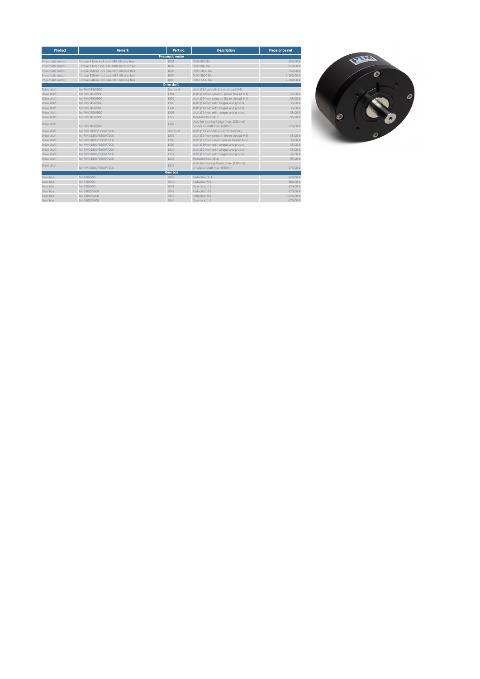<span id="page-4-0"></span>

| Product         | <b>Remark</b>                              | Part no.               | <b>Description</b>                                                   | Piece price net |
|-----------------|--------------------------------------------|------------------------|----------------------------------------------------------------------|-----------------|
|                 |                                            | <b>Pneumatic motor</b> |                                                                      |                 |
| Pneumatic motor | Torque 4 Nm/ incl. seal NBR silicone free  | 1001                   | <b>PMO 450 BA</b>                                                    | 550.00 €        |
| Pneumatic motor | Torque 8 Nm / incl. seal NBR silicone free | 1002                   | <b>PMO 900 BA</b>                                                    | 650.00 €        |
| Pneumatic motor | Torque 16Nm/ incl. seal NBR silicone free  | 1003                   | <b>PMO 1800 BA</b>                                                   | 750.00 €        |
| Pneumatic motor | Torque 32Nm/ incl. seal NBR silicone free  | 1004                   | PMO 3600 BA                                                          | 1 100.00 €      |
| Pneumatic motor | Torque 64Nm/ incl. seal NBR silicone free  | 1005                   | <b>PMO 7200 BA</b>                                                   | 2 200,00 €      |
|                 |                                            | <b>Drive shaft</b>     |                                                                      |                 |
| Drive shaft     | for PMO450/900                             | Standard               | shaft Ø14 smooth (inner thread M4)                                   |                 |
| Drive shaft     | for PM0450/900                             | 1301                   | shaft Ø19mm smooth (inner thread M4)                                 | 35.00 €         |
| Drive shaft     | for PMO450/900                             | 1302                   | shaft Ø24mm smooth (inner thread M4)                                 | 35,00 €         |
| Drive shaft     | for PM0450/900                             | 1303                   | shaft Ø14mm with tongue and groove                                   | 35.00 €         |
| Drive shaft     | for PM0450/900                             | 1304                   | shaft Ø19mm with tongue and groove                                   | 35.00 €         |
| Drive shaft     | for PM0450/900                             | 1305                   | shaft Ø24mm with tongue and groove                                   | 35.00 €         |
| Drive shaft     | for PM0450/900                             | 1327                   | Threaded bub M12                                                     | 95.00€          |
| Drive shaft     | for PM0450/900                             | 1306                   | shaft for bearing flange (max. Ø28mm)<br>or special shaft max. Ø30mm | 175,00 €        |
| Drive shaft     | for PM01800/3600/7200                      | Standard               | shaft Ø19 smooth (inner thread M6)                                   |                 |
| Drive shaft     | for PMO1800/3600/7200                      | 1307                   | shaft Ø24mm smooth (inner thread M6)                                 | 35.00 €         |
| Drive shaft     | for PM01800/3600/7200                      | 1308                   | shaft Ø32mm smooth (inner thread M6)                                 | 35,00 €         |
| Drive shaft     | for PMO1800/3600/7200                      | 1309                   | shaft Ø19mm with tongue and groove                                   | 35.00 €         |
| Drive shaft     | for PMO1800/3600/7200                      | 1310                   | shaft Ø24mm with tongue and groove                                   | 35,00 €         |
| Drive shaft     | for PMO1800/3600/7200                      | 1311                   | shaft Ø32mm with tongue and groove                                   | 35.00 €         |
| Drive shaft     | for PM01800/3600/7200                      | 1328                   | Threaded hub M16                                                     | 95,00 €         |
| Drive shaft     | for PM01800/3600/7200                      | 1312                   | shaft for bearing flange (max. Ø30mm)<br>or special shaft max. Ø35mm | 175,00 €        |
|                 |                                            | <b>Gear box</b>        |                                                                      |                 |
| Gear box        | for 450/900                                | 5039                   | Reduction 3: 1                                                       | 630.00 €        |
| Gear box        | for 450/900                                | 5040                   | Reduction 9:1                                                        | 980.00 €        |
| Gear box        | for 450/900                                | 5041                   | Gear ratio 1:2                                                       | 630.00 €        |
| Gear box        | for 1800/3600                              | 5042                   | Reduction 3:1                                                        | 670,00 €        |
| Gear box        | for 1800/3600                              | 5043                   | Reduction 9:1                                                        | 1045.00 €       |
| Gear box        | for 1800/3600                              | 5044                   | Gear ratio 1:2                                                       | 670,00 €        |

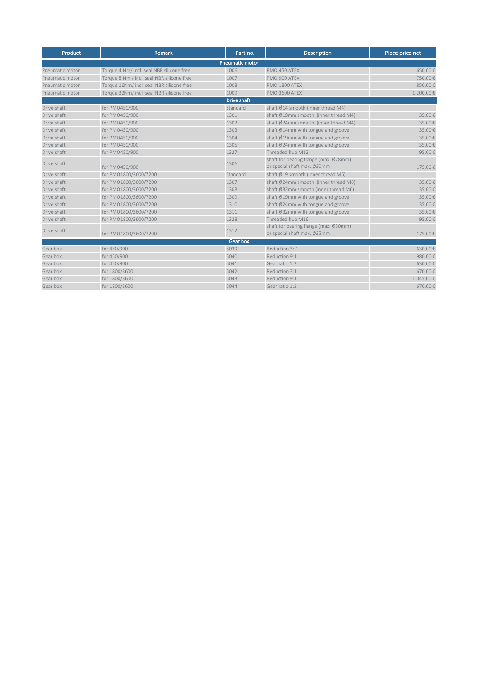<span id="page-5-0"></span>

| Product         | Remark                                     | Part no.           | <b>Description</b>                                                   | Piece price net |  |  |  |  |  |
|-----------------|--------------------------------------------|--------------------|----------------------------------------------------------------------|-----------------|--|--|--|--|--|
|                 | <b>Pneumatic motor</b>                     |                    |                                                                      |                 |  |  |  |  |  |
| Pneumatic motor | Torque 4 Nm/ incl. seal NBR silicone free  | 1006               | PMO 450 ATEX                                                         | 650,00€         |  |  |  |  |  |
| Pneumatic motor | Torque 8 Nm / incl. seal NBR silicone free | 1007               | PMO 900 ATEX                                                         | 750,00€         |  |  |  |  |  |
| Pneumatic motor | Torque 16Nm/ incl. seal NBR silicone free  | 1008               | PMO 1800 ATEX                                                        | 850,00€         |  |  |  |  |  |
| Pneumatic motor | Torque 32Nm/ incl. seal NBR silicone free  | 1009               | <b>PMO 3600 ATEX</b>                                                 | 1 200,00 €      |  |  |  |  |  |
|                 |                                            | <b>Drive shaft</b> |                                                                      |                 |  |  |  |  |  |
| Drive shaft     | for PMO450/900                             | Standard           | shaft Ø14 smooth (inner thread M4)                                   |                 |  |  |  |  |  |
| Drive shaft     | for PMO450/900                             | 1301               | shaft Ø19mm smooth (inner thread M4)                                 | 35,00€          |  |  |  |  |  |
| Drive shaft     | for PMO450/900                             | 1302               | shaft Ø24mm smooth (inner thread M4)                                 | 35,00€          |  |  |  |  |  |
| Drive shaft     | for PMO450/900                             | 1303               | shaft Ø14mm with tongue and groove                                   | 35,00€          |  |  |  |  |  |
| Drive shaft     | for PMO450/900                             | 1304               | shaft Ø19mm with tongue and groove                                   | 35,00€          |  |  |  |  |  |
| Drive shaft     | for PMO450/900                             | 1305               | shaft Ø24mm with tongue and groove                                   | 35,00€          |  |  |  |  |  |
| Drive shaft     | for PMO450/900                             | 1327               | Threaded hub M12                                                     | 95,00€          |  |  |  |  |  |
| Drive shaft     | for PMO450/900                             | 1306               | shaft for bearing flange (max. Ø28mm)<br>or special shaft max. Ø30mm | 175,00€         |  |  |  |  |  |
| Drive shaft     | for PMO1800/3600/7200                      | Standard           | shaft Ø19 smooth (inner thread M6)                                   |                 |  |  |  |  |  |
| Drive shaft     | for PMO1800/3600/7200                      | 1307               | shaft Ø24mm smooth (inner thread M6)                                 | 35,00€          |  |  |  |  |  |
| Drive shaft     | for PMO1800/3600/7200                      | 1308               | shaft Ø32mm smooth (inner thread M6)                                 | 35,00€          |  |  |  |  |  |
| Drive shaft     | for PMO1800/3600/7200                      | 1309               | shaft Ø19mm with tongue and groove                                   | 35,00€          |  |  |  |  |  |
| Drive shaft     | for PMO1800/3600/7200                      | 1310               | shaft Ø24mm with tongue and groove                                   | 35,00€          |  |  |  |  |  |
| Drive shaft     | for PMO1800/3600/7200                      | 1311               | shaft Ø32mm with tongue and groove                                   | 35,00€          |  |  |  |  |  |
| Drive shaft     | for PMO1800/3600/7200                      | 1328               | Threaded hub M16                                                     | 95,00€          |  |  |  |  |  |
| Drive shaft     | for PMO1800/3600/7200                      | 1312               | shaft for bearing flange (max. Ø30mm)<br>or special shaft max. Ø35mm | 175,00 €        |  |  |  |  |  |
|                 |                                            | Gear box           |                                                                      |                 |  |  |  |  |  |
| Gear box        | for 450/900                                | 5039               | Reduction 3: 1                                                       | 630,00€         |  |  |  |  |  |
| Gear box        | for 450/900                                | 5040               | Reduction 9:1                                                        | 980,00€         |  |  |  |  |  |
| Gear box        | for 450/900                                | 5041               | Gear ratio 1:2                                                       | 630,00€         |  |  |  |  |  |
| Gear box        | for 1800/3600                              | 5042               | Reduction 3:1                                                        | 670,00€         |  |  |  |  |  |
| Gear box        | for 1800/3600                              | 5043               | Reduction 9:1                                                        | 1 045,00€       |  |  |  |  |  |
| Gear box        | for 1800/3600                              | 5044               | Gear ratio 1:2                                                       | 670,00€         |  |  |  |  |  |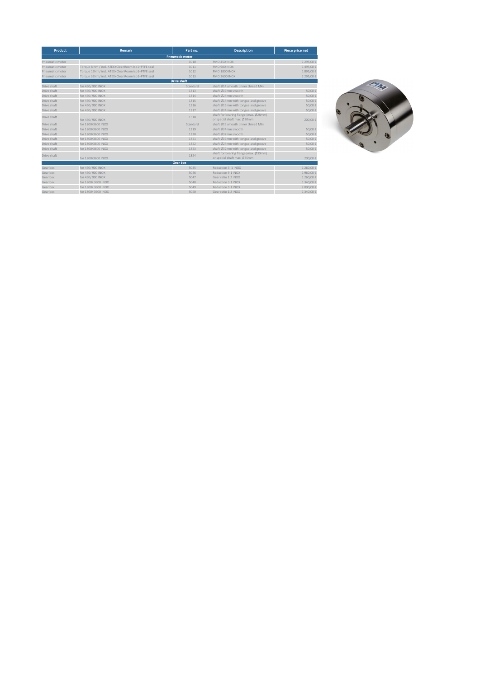<span id="page-6-0"></span>

| <b>Product</b>  | <b>Remark</b>                                     | Part no.               | <b>Description</b>                    | Piece price net |
|-----------------|---------------------------------------------------|------------------------|---------------------------------------|-----------------|
|                 |                                                   | <b>Pneumatic motor</b> |                                       |                 |
| Pneumatic motor |                                                   | 1010                   | PMO 450 INOX                          | 1 295.00€       |
| Pneumatic motor | Torque 8 Nm / incl. ATEX+CleanRoom Iso1+PTFE seal | 1011                   | PMO 900 INOX                          | 1495.00€        |
| Pneumatic motor | Torque 16Nm/ incl. ATEX+CleanRoom Iso1+PTFE seal  | 1012                   | <b>PMO 1800 INOX</b>                  | 1895.00€        |
| Pneumatic motor | Torque 32Nm/ incl. ATEX+CleanRoom Iso1+PTFE seal  | 1013                   | <b>PMO 3600 INOX</b>                  | 2 295.00€       |
|                 |                                                   | <b>Drive shaft</b>     |                                       |                 |
| Drive shaft     | for 450/900 INOX                                  | Standard               | shaft Ø14 smooth (inner thread M4)    |                 |
| Drive shaft     | for 450/900 INOX                                  | 1313                   | shaft Ø19mm smooth                    | 50.00€          |
| Drive shaft     | for 450/900 INOX                                  | 1314                   | shaft Ø24mm smooth                    | 50.00€          |
| Drive shaft     | for 450/900 INOX                                  | 1315                   | shaft Ø14mm with tongue and groove    | 50.00€          |
| Drive shaft     | for 450/900 INOX                                  | 1316                   | shaft Ø19mm with tongue and groove    | 50.00€          |
| Drive shaft     | for 450/900 INOX                                  | 1317                   | shaft Ø24mm with tongue and groove    | 50.00€          |
| Drive shaft     |                                                   | 1318                   | shaft for bearing flange (max. Ø28mm) |                 |
|                 | for 450/900 INOX                                  |                        | or special shaft max. Ø30mm           | 200.00€         |
| Drive shaft     | for 1800/3600 INOX                                | Standard               | shaft Ø19 smooth (inner thread M6)    |                 |
| Drive shaft     | for 1800/3600 INOX                                | 1319                   | shaft Ø24mm smooth                    | 50.00€          |
| Drive shaft     | for 1800/3600 INOX                                | 1320                   | shaft Ø32mm smooth                    | 50.00€          |
| Drive shaft     | for 1800/3600 INOX                                | 1321                   | shaft Ø19mm with tongue and groove    | 50.00€          |
| Drive shaft     | for 1800/3600 INOX                                | 1322                   | shaft Ø24mm with tongue and groove    | 50.00€          |
| Drive shaft     | for 1800/3600 INOX                                | 1323                   | shaft Ø32mm with tongue and groove    | 50.00€          |
| Drive shaft     |                                                   | 1324                   | shaft for bearing flange (max. Ø30mm) |                 |
|                 | for 1800/3600 INOX                                |                        | or special shaft max. Ø35mm           | 200.00€         |
|                 |                                                   | <b>Gear box</b>        |                                       |                 |
| Gear box        | for 450/900 INOX                                  | 5045                   | Reduction 3: 1 INOX                   | 1 260,00€       |
| Gear box        | for 450/900 INOX                                  | 5046                   | Reduction 9:1 INOX                    | 1960.00€        |
| Gear box        | for 450/900 INOX                                  | 5047                   | Gear ratio 1:2 INOX                   | 1 260,00 €      |
| Gear box        | for 1800/3600 INOX                                | 5048                   | Reduction 3:1 INOX                    | 1 340.00€       |
| Gear box        | for 1800/3600 INOX                                | 5049                   | Reduction 9:1 INOX                    | 2 090,00€       |
| Gear box        | for 1800/3600 INOX                                | 5050                   | Gear ratio 1:2 INOX                   | 1 340,00€       |

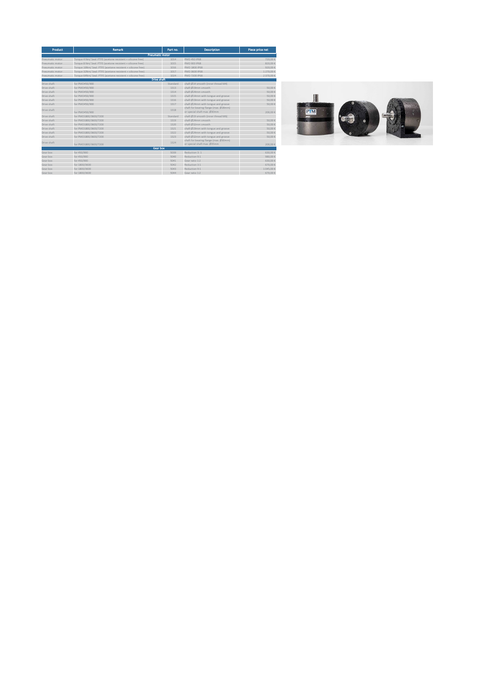<span id="page-7-0"></span>

| Product         | Remark                                                      | Part no.               | <b>Description</b>                                                   | Piece price net |
|-----------------|-------------------------------------------------------------|------------------------|----------------------------------------------------------------------|-----------------|
|                 |                                                             | <b>Pneumatic motor</b> |                                                                      |                 |
| Pneumatic motor | Torque 4 Nm/ Seal: PTFE (acetone resistent + silicone free) | 1014                   | PMO 450 IP68                                                         | 720.00 €        |
| Pneumatic motor | Torque 8 Nm/ Seal: PTFE (acetone resistent + silicone free) | 1015                   | PMO 900 IP68                                                         | 820.00 €        |
| Pneumatic motor | Torque 16Nm/ Seal: PTFE (acetone resistent + silicone free) | 1016                   | PMO 1800 IP68                                                        | 920.006         |
| Pneumatic motor | Torque 32Nm/ Seal: PTFE (acetone resistent + silicone free) | 1017                   | PMO 3600 IP68                                                        | 1 270.00 €      |
| Pneumatic motor | Torque 64Nm/ Seal: PTFE (acetone resistent + silicone free) | 1024                   | PMO 7200 IP68                                                        | 2 370,00 €      |
|                 |                                                             | <b>Drive shaft</b>     |                                                                      |                 |
| Drive shaft     | for PMO450/900                                              | Standard               | shaft Ø14 smooth (inner thread M4)                                   |                 |
| Drive shaft     | for PMO450/900                                              | 1313                   | shaft Ø19mm smooth                                                   | 50.006          |
| Drive shaft     | for PMO450/900                                              | 1314                   | shaft Ø24mm smooth                                                   | 50.006          |
| Drive shaft     | for PMO450/900                                              | 1315                   | shaft Ø14mm with tongue and groove                                   | 50.006          |
| Drive shaft     | for PMO450/900                                              | 1316                   | shaft Ø19mm with tongue and groove                                   | 50.006          |
| Drive shaft     | for PMO450/900                                              | 1317                   | shaft Ø24mm with tongue and groove                                   | 50.006          |
| Drive shaft     | for PMO450/900                                              | 1318                   | shaft for bearing flange (max. Ø28mm)<br>or special shaft max. Ø30mm | 200.00 €        |
| Drive shaft     | for PMO1800/3600/7200                                       | Standard               | shaft Ø19 smooth (inner thread M6)                                   |                 |
| Drive shaft     | for PMO1800/3600/7200                                       | 1319                   | shaft Ø24mm smooth                                                   | 50.006          |
| Drive shaft     | for PMO1800/3600/7200                                       | 1320                   | shaft Ø32mm smooth                                                   | 50.006          |
| Drive shaft     | for PMO1800/3600/7200                                       | 1321                   | shaft Ø19mm with tongue and groove                                   | 50.006          |
| Drive shaft     | for PMO1800/3600/7200                                       | 1322                   | shaft Ø24mm with tongue and groove                                   | 50.006          |
| Drive shaft     | for PMO1800/3600/7200                                       | 1323                   | shaft Ø32mm with tongue and groove                                   | 50.006          |
| Drive shaft     | for PMO1800/3600/7200                                       | 1324                   | shaft for bearing flange (max. Ø30mm)<br>or special shaft max. Ø35mm | 200.00 €        |
|                 |                                                             | Gear box               |                                                                      |                 |
| Gear box        | for 450/900                                                 | 5039                   | Reduction 3: 1                                                       | 630.00 €        |
| Gear box        | for 450/900                                                 | 5040                   | Reduction 9:1                                                        | 980.00 €        |
| Gear box        | for 450/900                                                 | 5041                   | Gear ratio 1:2                                                       | 630.00 €        |
| Gear box        | for 1800/3600                                               | 5042                   | Reduction 3:1                                                        | 670.00 €        |
| Gear box        | for 1800/3600                                               | 5043                   | Reduction 9:1                                                        | 1045.006        |
| Gear box        | for 1800/3600                                               | 5044                   | Gear ratio 1:2                                                       | 670.00 €        |

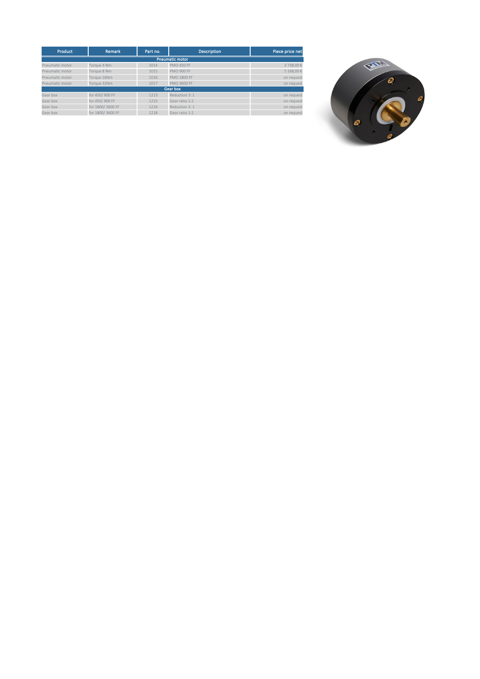<span id="page-8-0"></span>

| <b>Product</b>  | Remark           | Part no. | <b>Description</b>     | Piece price net |
|-----------------|------------------|----------|------------------------|-----------------|
|                 |                  |          | <b>Pneumatic motor</b> |                 |
| Pneumatic motor | Torque 4 Nm      | 1014     | <b>PMO 450 FF</b>      | 3 738,00 €      |
| Pneumatic motor | Torque 8 Nm      | 1015     | <b>PMO 900 FF</b>      | 5 168,00 €      |
| Pneumatic motor | Torque 16Nm      | 1016     | <b>PMO 1800 FF</b>     | on request      |
| Pneumatic motor | Torque 32Nm      | 1017     | PMO 3600 FF            | on request      |
|                 |                  |          | Gear box               |                 |
| Gear box        | for 450/900 FF   | 1213     | Reduction 3: 1         | on request      |
| Gear box        | for 450/900 FF   | 1215     | Gear ratio 1:2         | on request      |
| Gear box        | for 1800/3600 FF | 1216     | Reduction 3: 1         | on request      |
| Gear box        | for 1800/3600 FF | 1218     | Gear ratio 1:2         | on request      |

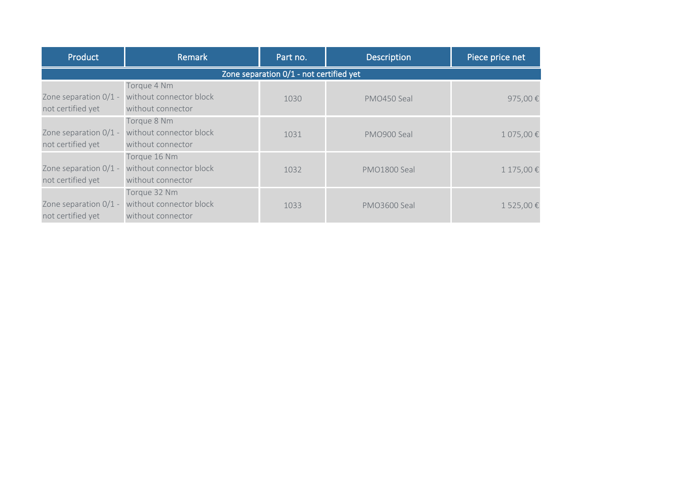<span id="page-9-0"></span>

| Product               | Remark                                  | Part no. | <b>Description</b> | Piece price net |  |  |  |  |
|-----------------------|-----------------------------------------|----------|--------------------|-----------------|--|--|--|--|
|                       | Zone separation 0/1 - not certified yet |          |                    |                 |  |  |  |  |
|                       | Torque 4 Nm                             |          |                    |                 |  |  |  |  |
| Zone separation 0/1 - | without connector block                 | 1030     | PMO450 Seal        | 975,00€         |  |  |  |  |
| not certified yet     | without connector                       |          |                    |                 |  |  |  |  |
|                       | Torque 8 Nm                             |          |                    |                 |  |  |  |  |
| Zone separation 0/1 - | without connector block                 | 1031     | PMO900 Seal        | 1 075,00€       |  |  |  |  |
| not certified yet     | without connector                       |          |                    |                 |  |  |  |  |
|                       | Torque 16 Nm                            |          |                    |                 |  |  |  |  |
| Zone separation 0/1 - | without connector block                 | 1032     | PMO1800 Seal       | 1 175,00€       |  |  |  |  |
| not certified yet     | without connector                       |          |                    |                 |  |  |  |  |
|                       | Torque 32 Nm                            |          |                    |                 |  |  |  |  |
| Zone separation 0/1 - | without connector block                 | 1033     | PMO3600 Seal       | 1 525,00€       |  |  |  |  |
| not certified yet     | without connector                       |          |                    |                 |  |  |  |  |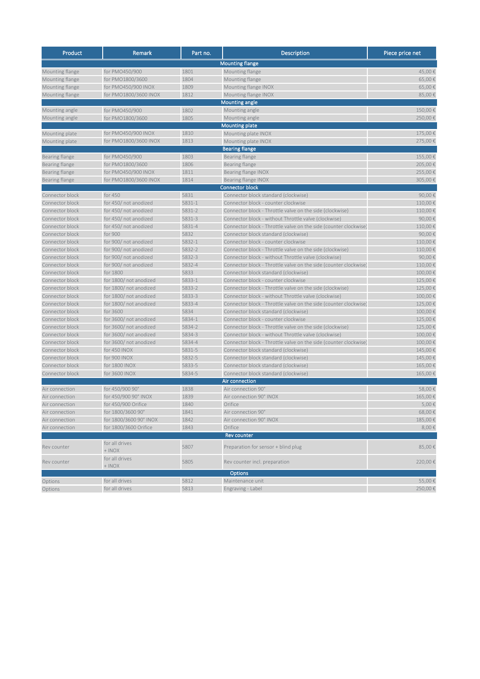<span id="page-10-0"></span>

| Product               | Remark                 | Part no. | Description                                                      | Piece price net |
|-----------------------|------------------------|----------|------------------------------------------------------------------|-----------------|
|                       |                        |          | <b>Mounting flange</b>                                           |                 |
| Mounting flange       | for PMO450/900         | 1801     | Mounting flange                                                  | 45,00€          |
| Mounting flange       | for PMO1800/3600       | 1804     | Mounting flange                                                  | 65,00€          |
| Mounting flange       | for PMO450/900 INOX    | 1809     | Mounting flange INOX                                             | 65,00€          |
| Mounting flange       | for PMO1800/3600 INOX  | 1812     | Mounting flange INOX                                             | 85,00€          |
|                       |                        |          | <b>Mounting angle</b>                                            |                 |
| Mounting angle        | for PMO450/900         | 1802     | Mounting angle                                                   | 150,00€         |
| Mounting angle        | for PMO1800/3600       | 1805     | Mounting angle                                                   | 250,00€         |
|                       |                        |          | <b>Mounting plate</b>                                            |                 |
| Mounting plate        | for PMO450/900 INOX    | 1810     | Mounting plate INOX                                              | 175,00€         |
| Mounting plate        | for PMO1800/3600 INOX  | 1813     | Mounting plate INOX                                              | 275,00€         |
|                       |                        |          | <b>Bearing flange</b>                                            |                 |
| Bearing flange        | for PMO450/900         | 1803     | Bearing flange                                                   | 155,00€         |
| Bearing flange        | for PMO1800/3600       | 1806     | Bearing flange                                                   | 205,00€         |
| Bearing flange        | for PMO450/900 INOX    | 1811     | Bearing flange INOX                                              | 255,00€         |
| <b>Bearing flange</b> | for PMO1800/3600 INOX  | 1814     | Bearing flange INOX                                              | 305,00€         |
|                       |                        |          | <b>Connector block</b>                                           |                 |
| Connector block       | for 450                | 5831     | Connector block standard (clockwise)                             | 90,00€          |
| Connector block       | for 450/not anodized   | 5831-1   | Connector block - counter clockwise                              | 110,00€         |
| Connector block       | for 450/not anodized   | 5831-2   | Connector block - Throttle valve on the side (clockwise)         | 110,00€         |
| Connector block       | for 450/ not anodized  | 5831-3   | Connector block - without Throttle valve (clockwise)             | 90.00€          |
| Connector block       | for 450/ not anodized  | 5831-4   | Connector block - Throttle valve on the side (counter clockwise  | 110,00€         |
| Connector block       | for 900                | 5832     | Connector block standard (clockwise)                             | 90,00€          |
| Connector block       | for 900/ not anodized  | 5832-1   | Connector block - counter clockwise                              | 110.00€         |
| Connector block       | for 900/not anodized   | 5832-2   | Connector block - Throttle valve on the side (clockwise)         | 110,00€         |
| Connector block       | for 900/ not anodized  | 5832-3   | Connector block - without Throttle valve (clockwise)             | 90.00€          |
| Connector block       | for 900/not anodized   | 5832-4   | Connector block - Throttle valve on the side (counter clockwise) | 110,00€         |
| Connector block       | for 1800               | 5833     | Connector block standard (clockwise)                             | 100,00€         |
| Connector block       | for 1800/not anodized  | 5833-1   | Connector block - counter clockwise                              | 125,00€         |
| Connector block       | for 1800/not anodized  | 5833-2   | Connector block - Throttle valve on the side (clockwise)         | 125,00€         |
| Connector block       | for 1800/not anodized  | 5833-3   | Connector block - without Throttle valve (clockwise)             | 100,00€         |
| Connector block       | for 1800/not anodized  | 5833-4   | Connector block - Throttle valve on the side (counter clockwise) | 125,00€         |
| Connector block       | for 3600               | 5834     | Connector block standard (clockwise)                             | 100,00€         |
| Connector block       | for 3600/ not anodized | 5834-1   | Connector block - counter clockwise                              | 125,00€         |
| Connector block       | for 3600/ not anodized | 5834-2   | Connector block - Throttle valve on the side (clockwise)         | 125,00€         |
| Connector block       | for 3600/ not anodized | 5834-3   | Connector block - without Throttle valve (clockwise)             | 100,00€         |
| Connector block       | for 3600/ not anodized | 5834-4   | Connector block - Throttle valve on the side (counter clockwise) | 100,00€         |
| Connector block       | for 450 INOX           | 5831-5   | Connector block standard (clockwise)                             | 145,00€         |
| Connector block       | for 900 INOX           | 5832-5   | Connector block standard (clockwise)                             | 145,00€         |
| Connector block       | for 1800 INOX          | 5833-5   | Connector block standard (clockwise)                             | 165,00€         |
| Connector block       | for 3600 INOX          | 5834-5   | Connector block standard (clockwise)                             | 165,00€         |
|                       |                        |          | Air connection                                                   |                 |
| Air connection        | for 450/900 90°        | 1838     | Air connection 90°                                               | 58,00€          |
| Air connection        | for 450/900 90° INOX   | 1839     | Air connection 90° INOX                                          | 165,00€         |
| Air connection        | for 450/900 Orifice    | 1840     | Orifice                                                          | 5,00€           |
| Air connection        | for 1800/3600 90°      | 1841     | Air connection 90°                                               | 68,00€          |
| Air connection        | for 1800/3600 90° INOX | 1842     | Air connection 90° INOX                                          | 185,00€         |
| Air connection        | for 1800/3600 Orifice  | 1843     | Orifice                                                          | 8,00€           |
|                       | for all drives         |          | <b>Rev counter</b>                                               |                 |
| Rev counter           | $+$ INOX               | 5807     | Preparation for sensor + blind plug                              | 85,00€          |
|                       | for all drives         |          |                                                                  |                 |
| Rev counter           | $+$ INOX               | 5805     | Rev counter incl. preparation                                    | 220,00€         |
|                       |                        |          | <b>Options</b>                                                   |                 |
| Options               | for all drives         | 5812     | Maintenance unit                                                 | 55,00€          |
| Options               | for all drives         | 5813     | Engraving - Label                                                | 250,00€         |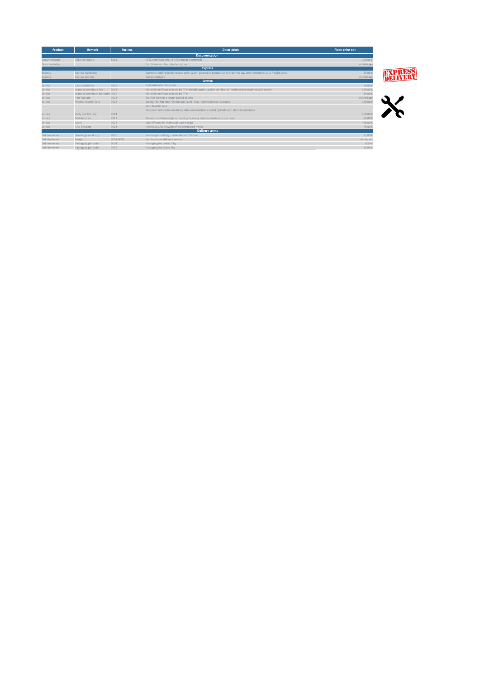<span id="page-11-0"></span>

| <b>Product</b> | Remark                             | Part no.  | <b>Description</b>                                                                                                   | Piece price net |
|----------------|------------------------------------|-----------|----------------------------------------------------------------------------------------------------------------------|-----------------|
|                |                                    |           | <b>Documentation</b>                                                                                                 |                 |
| Documentation  | ATEX certificate                   | 5801      | ATEX certificate (incl. if ATEX motor is ordered)                                                                    | 100,00 €        |
| Documentation  |                                    |           | Certificate acc. to customer request                                                                                 | auf Anfrage     |
|                |                                    |           | <b>Express</b>                                                                                                       |                 |
| Express        | Express handeling                  |           | Expresshandeling (order placed after 12am, garanteed production of order the day after tomorrow, plus freight costs) | 25,00 €         |
| Express        | Express delivery                   |           | Express delivery                                                                                                     | auf Anfrage     |
|                |                                    |           | <b>Service</b>                                                                                                       |                 |
| Service        | Cost estimation                    | 9016      | Cost estimation for repair                                                                                           | 20,00 €         |
| Service        | Material certificate Pro           | 9018      | Material certificate created by PTM including pre-supplier certificates (needs to be requested with order)           | 250,00€         |
| Service        | Material certificate Standard 9019 |           | Material certificate created by PTM                                                                                  | 30,00 €         |
| Service        | Test flat rate                     | 9024      | Test flat rate for a longer period of time                                                                           | auf Anfrage     |
| Service        | Weekly Test flat rate              | 9025      | WeeklyTest flat rate / Invoice per week, max. testing periode: 3 weeks                                               | 150,00 €        |
|                |                                    |           | Daily test flat rate                                                                                                 |                 |
|                |                                    |           | Approach and advice on site by sales representative including trials with standard products                          |                 |
| Service        | Daily test flat rate               | 9014      |                                                                                                                      | 250,00          |
| Service        | Maintenance                        | 9013      | On-site maintenance (plus travel, processing time and materials) per hour:                                           | 84.00€          |
| Service        | Label                              | 9022      | One-off costs for individual label design                                                                            | 450,00 €        |
| Service        | CAD Drawing                        | 9023      | Individual CAD drawing of the configured motor                                                                       | 75,00 €         |
|                |                                    |           | <b>Delivery terms</b>                                                                                                |                 |
| Delivery terms | Surcharge small qty.               | 9020      | Surcharge small qty.- order below 100 Euro                                                                           | 25,00 €         |
| Delivery terms | Freight                            | 9001-9003 | acc. to chosen delivery service                                                                                      | on request      |
| Delivery terms | Packaging per order                | 9004      | Packaging fee below 5 kg                                                                                             | 8,50 €          |
| Delivery terms | Packaging per order                | 9026      | Packaging fee above 5kg                                                                                              | 15.00€          |